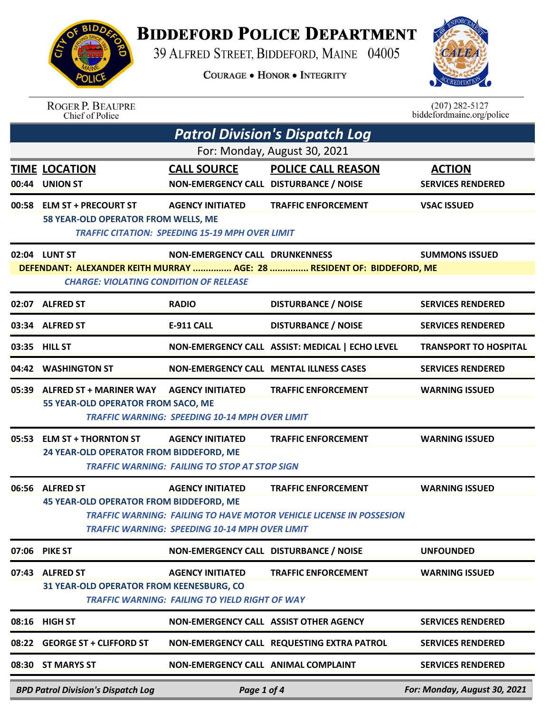

## **BIDDEFORD POLICE DEPARTMENT**

39 ALFRED STREET, BIDDEFORD, MAINE 04005

COURAGE . HONOR . INTEGRITY



| <b>ROGER P. BEAUPRE</b> |  |
|-------------------------|--|
| Chief of Police         |  |

 $(207)$  282-5127<br>biddefordmaine.org/police

| <b>Patrol Division's Dispatch Log</b> |                                                                                                                         |                                                                                   |                                                                                                          |                                           |  |  |  |
|---------------------------------------|-------------------------------------------------------------------------------------------------------------------------|-----------------------------------------------------------------------------------|----------------------------------------------------------------------------------------------------------|-------------------------------------------|--|--|--|
|                                       | For: Monday, August 30, 2021                                                                                            |                                                                                   |                                                                                                          |                                           |  |  |  |
|                                       | <b>TIME LOCATION</b><br>00:44 UNION ST                                                                                  | <b>CALL SOURCE</b><br>NON-EMERGENCY CALL DISTURBANCE / NOISE                      | <b>POLICE CALL REASON</b>                                                                                | <b>ACTION</b><br><b>SERVICES RENDERED</b> |  |  |  |
|                                       | 00:58 ELM ST + PRECOURT ST<br>58 YEAR-OLD OPERATOR FROM WELLS, ME                                                       | <b>AGENCY INITIATED</b><br><b>TRAFFIC CITATION: SPEEDING 15-19 MPH OVER LIMIT</b> | <b>TRAFFIC ENFORCEMENT</b>                                                                               | <b>VSAC ISSUED</b>                        |  |  |  |
|                                       | 02:04 LUNT ST                                                                                                           | NON-EMERGENCY CALL DRUNKENNESS                                                    |                                                                                                          | <b>SUMMONS ISSUED</b>                     |  |  |  |
|                                       | DEFENDANT: ALEXANDER KEITH MURRAY  AGE: 28  RESIDENT OF: BIDDEFORD, ME<br><b>CHARGE: VIOLATING CONDITION OF RELEASE</b> |                                                                                   |                                                                                                          |                                           |  |  |  |
|                                       | 02:07 ALFRED ST                                                                                                         | <b>RADIO</b>                                                                      | <b>DISTURBANCE / NOISE</b>                                                                               | <b>SERVICES RENDERED</b>                  |  |  |  |
|                                       | 03:34 ALFRED ST                                                                                                         | E-911 CALL                                                                        | <b>DISTURBANCE / NOISE</b>                                                                               | <b>SERVICES RENDERED</b>                  |  |  |  |
|                                       | 03:35 HILL ST                                                                                                           |                                                                                   | NON-EMERGENCY CALL ASSIST: MEDICAL   ECHO LEVEL                                                          | <b>TRANSPORT TO HOSPITAL</b>              |  |  |  |
|                                       | 04:42 WASHINGTON ST                                                                                                     |                                                                                   | <b>NON-EMERGENCY CALL MENTAL ILLNESS CASES</b>                                                           | <b>SERVICES RENDERED</b>                  |  |  |  |
|                                       | 05:39 ALFRED ST + MARINER WAY AGENCY INITIATED<br>55 YEAR-OLD OPERATOR FROM SACO, ME                                    | <b>TRAFFIC WARNING: SPEEDING 10-14 MPH OVER LIMIT</b>                             | <b>TRAFFIC ENFORCEMENT</b>                                                                               | <b>WARNING ISSUED</b>                     |  |  |  |
|                                       | 05:53 ELM ST + THORNTON ST<br>24 YEAR-OLD OPERATOR FROM BIDDEFORD, ME                                                   | <b>AGENCY INITIATED</b><br><b>TRAFFIC WARNING: FAILING TO STOP AT STOP SIGN</b>   | <b>TRAFFIC ENFORCEMENT</b>                                                                               | <b>WARNING ISSUED</b>                     |  |  |  |
|                                       | 06:56 ALFRED ST<br><b>45 YEAR-OLD OPERATOR FROM BIDDEFORD, ME</b>                                                       | <b>AGENCY INITIATED</b><br><b>TRAFFIC WARNING: SPEEDING 10-14 MPH OVER LIMIT</b>  | <b>TRAFFIC ENFORCEMENT</b><br><b>TRAFFIC WARNING: FAILING TO HAVE MOTOR VEHICLE LICENSE IN POSSESION</b> | <b>WARNING ISSUED</b>                     |  |  |  |
| 07:06                                 | <b>PIKE ST</b>                                                                                                          | NON-EMERGENCY CALL DISTURBANCE / NOISE                                            |                                                                                                          | <b>UNFOUNDED</b>                          |  |  |  |
| 07:43                                 | <b>ALFRED ST</b><br>31 YEAR-OLD OPERATOR FROM KEENESBURG, CO                                                            | <b>AGENCY INITIATED</b><br><b>TRAFFIC WARNING: FAILING TO YIELD RIGHT OF WAY</b>  | <b>TRAFFIC ENFORCEMENT</b>                                                                               | <b>WARNING ISSUED</b>                     |  |  |  |
|                                       | 08:16 HIGH ST                                                                                                           |                                                                                   | NON-EMERGENCY CALL ASSIST OTHER AGENCY                                                                   | <b>SERVICES RENDERED</b>                  |  |  |  |
| 08:22                                 | <b>GEORGE ST + CLIFFORD ST</b>                                                                                          |                                                                                   | NON-EMERGENCY CALL REQUESTING EXTRA PATROL                                                               | <b>SERVICES RENDERED</b>                  |  |  |  |
| 08:30                                 | <b>ST MARYS ST</b>                                                                                                      | NON-EMERGENCY CALL ANIMAL COMPLAINT                                               |                                                                                                          | <b>SERVICES RENDERED</b>                  |  |  |  |
|                                       | <b>BPD Patrol Division's Dispatch Log</b>                                                                               | Page 1 of 4                                                                       |                                                                                                          | For: Monday, August 30, 2021              |  |  |  |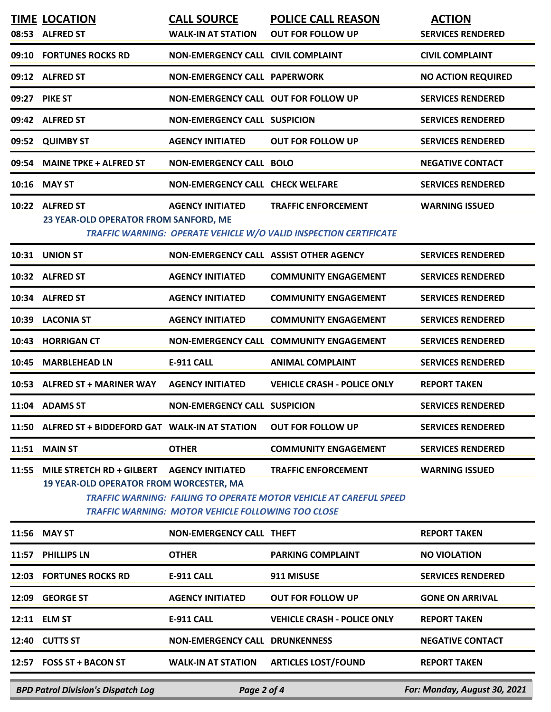|       | <b>TIME LOCATION</b><br>08:53 ALFRED ST                                                            | <b>CALL SOURCE</b><br><b>WALK-IN AT STATION</b>           | <b>POLICE CALL REASON</b><br><b>OUT FOR FOLLOW UP</b>                                                   | <b>ACTION</b><br><b>SERVICES RENDERED</b> |
|-------|----------------------------------------------------------------------------------------------------|-----------------------------------------------------------|---------------------------------------------------------------------------------------------------------|-------------------------------------------|
|       | 09:10 FORTUNES ROCKS RD                                                                            | NON-EMERGENCY CALL CIVIL COMPLAINT                        |                                                                                                         | <b>CIVIL COMPLAINT</b>                    |
|       | 09:12 ALFRED ST                                                                                    | <b>NON-EMERGENCY CALL PAPERWORK</b>                       |                                                                                                         | <b>NO ACTION REQUIRED</b>                 |
|       | 09:27 PIKE ST                                                                                      | NON-EMERGENCY CALL OUT FOR FOLLOW UP                      |                                                                                                         | <b>SERVICES RENDERED</b>                  |
|       | 09:42 ALFRED ST                                                                                    | <b>NON-EMERGENCY CALL SUSPICION</b>                       |                                                                                                         | <b>SERVICES RENDERED</b>                  |
|       | 09:52 QUIMBY ST                                                                                    | <b>AGENCY INITIATED</b>                                   | <b>OUT FOR FOLLOW UP</b>                                                                                | <b>SERVICES RENDERED</b>                  |
| 09:54 | <b>MAINE TPKE + ALFRED ST</b>                                                                      | <b>NON-EMERGENCY CALL BOLO</b>                            |                                                                                                         | <b>NEGATIVE CONTACT</b>                   |
|       | 10:16 MAY ST                                                                                       | <b>NON-EMERGENCY CALL CHECK WELFARE</b>                   |                                                                                                         | <b>SERVICES RENDERED</b>                  |
|       | 10:22 ALFRED ST<br>23 YEAR-OLD OPERATOR FROM SANFORD, ME                                           | <b>AGENCY INITIATED</b>                                   | <b>TRAFFIC ENFORCEMENT</b><br>TRAFFIC WARNING: OPERATE VEHICLE W/O VALID INSPECTION CERTIFICATE         | <b>WARNING ISSUED</b>                     |
|       | 10:31 UNION ST                                                                                     | NON-EMERGENCY CALL ASSIST OTHER AGENCY                    |                                                                                                         | <b>SERVICES RENDERED</b>                  |
|       | 10:32 ALFRED ST                                                                                    | <b>AGENCY INITIATED</b>                                   | <b>COMMUNITY ENGAGEMENT</b>                                                                             | <b>SERVICES RENDERED</b>                  |
|       | 10:34 ALFRED ST                                                                                    | <b>AGENCY INITIATED</b>                                   | <b>COMMUNITY ENGAGEMENT</b>                                                                             | <b>SERVICES RENDERED</b>                  |
|       | 10:39 LACONIA ST                                                                                   | <b>AGENCY INITIATED</b>                                   | <b>COMMUNITY ENGAGEMENT</b>                                                                             | <b>SERVICES RENDERED</b>                  |
|       | 10:43 HORRIGAN CT                                                                                  |                                                           | NON-EMERGENCY CALL COMMUNITY ENGAGEMENT                                                                 | <b>SERVICES RENDERED</b>                  |
|       | 10:45 MARBLEHEAD LN                                                                                | <b>E-911 CALL</b>                                         | <b>ANIMAL COMPLAINT</b>                                                                                 | <b>SERVICES RENDERED</b>                  |
|       | 10:53 ALFRED ST + MARINER WAY                                                                      | <b>AGENCY INITIATED</b>                                   | <b>VEHICLE CRASH - POLICE ONLY</b>                                                                      | <b>REPORT TAKEN</b>                       |
|       | 11:04 ADAMS ST                                                                                     | <b>NON-EMERGENCY CALL SUSPICION</b>                       |                                                                                                         | <b>SERVICES RENDERED</b>                  |
|       | 11:50 ALFRED ST + BIDDEFORD GAT WALK-IN AT STATION                                                 |                                                           | <b>OUT FOR FOLLOW UP</b>                                                                                | <b>SERVICES RENDERED</b>                  |
|       | <b>11:51 MAIN ST</b>                                                                               | <b>OTHER</b>                                              | <b>COMMUNITY ENGAGEMENT</b>                                                                             | <b>SERVICES RENDERED</b>                  |
|       | 11:55 MILE STRETCH RD + GILBERT AGENCY INITIATED<br><b>19 YEAR-OLD OPERATOR FROM WORCESTER, MA</b> | <b>TRAFFIC WARNING: MOTOR VEHICLE FOLLOWING TOO CLOSE</b> | <b>TRAFFIC ENFORCEMENT</b><br><b>TRAFFIC WARNING: FAILING TO OPERATE MOTOR VEHICLE AT CAREFUL SPEED</b> | <b>WARNING ISSUED</b>                     |
|       | 11:56 MAY ST                                                                                       | <b>NON-EMERGENCY CALL THEFT</b>                           |                                                                                                         | <b>REPORT TAKEN</b>                       |
|       | 11:57 PHILLIPS LN                                                                                  | <b>OTHER</b>                                              | <b>PARKING COMPLAINT</b>                                                                                | <b>NO VIOLATION</b>                       |
|       | 12:03 FORTUNES ROCKS RD                                                                            | E-911 CALL                                                | 911 MISUSE                                                                                              | <b>SERVICES RENDERED</b>                  |
|       | 12:09 GEORGE ST                                                                                    | <b>AGENCY INITIATED</b>                                   | <b>OUT FOR FOLLOW UP</b>                                                                                | <b>GONE ON ARRIVAL</b>                    |
|       | 12:11 ELM ST                                                                                       | E-911 CALL                                                | <b>VEHICLE CRASH - POLICE ONLY</b>                                                                      | <b>REPORT TAKEN</b>                       |
|       | 12:40 CUTTS ST                                                                                     | <b>NON-EMERGENCY CALL DRUNKENNESS</b>                     |                                                                                                         | <b>NEGATIVE CONTACT</b>                   |
|       | 12:57 FOSS ST + BACON ST                                                                           | <b>WALK-IN AT STATION</b>                                 | <b>ARTICLES LOST/FOUND</b>                                                                              | <b>REPORT TAKEN</b>                       |

*BPD Patrol Division's Dispatch Log Page 2 of 4 For: Monday, August 30, 2021*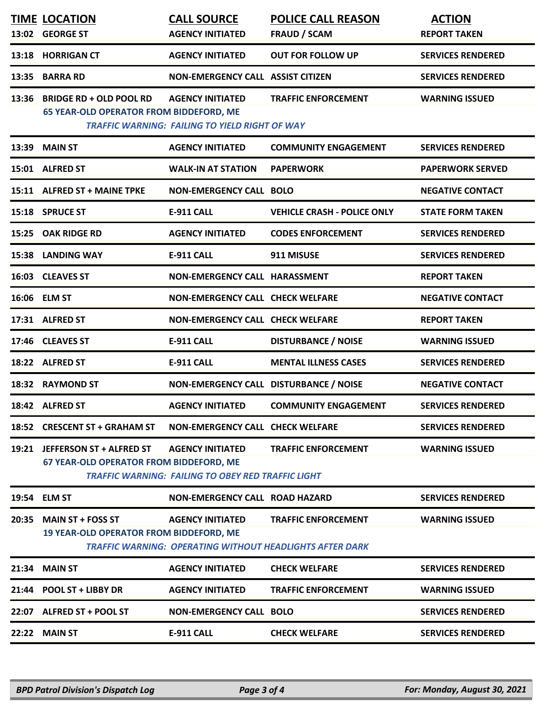|       | <b>TIME LOCATION</b><br>13:02 GEORGE ST                                          | <b>CALL SOURCE</b><br><b>AGENCY INITIATED</b>                                    | <b>POLICE CALL REASON</b><br><b>FRAUD / SCAM</b>                                        | <b>ACTION</b><br><b>REPORT TAKEN</b> |
|-------|----------------------------------------------------------------------------------|----------------------------------------------------------------------------------|-----------------------------------------------------------------------------------------|--------------------------------------|
|       |                                                                                  |                                                                                  |                                                                                         |                                      |
| 13:18 | <b>HORRIGAN CT</b>                                                               | <b>AGENCY INITIATED</b>                                                          | <b>OUT FOR FOLLOW UP</b>                                                                | <b>SERVICES RENDERED</b>             |
| 13:35 | <b>BARRA RD</b>                                                                  | NON-EMERGENCY CALL ASSIST CITIZEN                                                |                                                                                         | <b>SERVICES RENDERED</b>             |
| 13:36 | <b>BRIDGE RD + OLD POOL RD</b><br><b>65 YEAR-OLD OPERATOR FROM BIDDEFORD, ME</b> | <b>AGENCY INITIATED</b><br><b>TRAFFIC WARNING: FAILING TO YIELD RIGHT OF WAY</b> | <b>TRAFFIC ENFORCEMENT</b>                                                              | <b>WARNING ISSUED</b>                |
| 13:39 | <b>MAIN ST</b>                                                                   | <b>AGENCY INITIATED</b>                                                          | <b>COMMUNITY ENGAGEMENT</b>                                                             | <b>SERVICES RENDERED</b>             |
|       | 15:01 ALFRED ST                                                                  | <b>WALK-IN AT STATION</b>                                                        | <b>PAPERWORK</b>                                                                        | <b>PAPERWORK SERVED</b>              |
|       | 15:11 ALFRED ST + MAINE TPKE                                                     | <b>NON-EMERGENCY CALL BOLO</b>                                                   |                                                                                         | <b>NEGATIVE CONTACT</b>              |
|       | 15:18 SPRUCE ST                                                                  | <b>E-911 CALL</b>                                                                | <b>VEHICLE CRASH - POLICE ONLY</b>                                                      | <b>STATE FORM TAKEN</b>              |
| 15:25 | <b>OAK RIDGE RD</b>                                                              | <b>AGENCY INITIATED</b>                                                          | <b>CODES ENFORCEMENT</b>                                                                | <b>SERVICES RENDERED</b>             |
| 15:38 | <b>LANDING WAY</b>                                                               | <b>E-911 CALL</b>                                                                | 911 MISUSE                                                                              | <b>SERVICES RENDERED</b>             |
|       | 16:03 CLEAVES ST                                                                 | <b>NON-EMERGENCY CALL HARASSMENT</b>                                             |                                                                                         | <b>REPORT TAKEN</b>                  |
|       | 16:06 ELM ST                                                                     | <b>NON-EMERGENCY CALL CHECK WELFARE</b>                                          |                                                                                         | <b>NEGATIVE CONTACT</b>              |
|       | 17:31 ALFRED ST                                                                  | <b>NON-EMERGENCY CALL CHECK WELFARE</b>                                          |                                                                                         | <b>REPORT TAKEN</b>                  |
|       | 17:46 CLEAVES ST                                                                 | <b>E-911 CALL</b>                                                                | <b>DISTURBANCE / NOISE</b>                                                              | <b>WARNING ISSUED</b>                |
|       | 18:22 ALFRED ST                                                                  | <b>E-911 CALL</b>                                                                | <b>MENTAL ILLNESS CASES</b>                                                             | <b>SERVICES RENDERED</b>             |
| 18:32 | <b>RAYMOND ST</b>                                                                | NON-EMERGENCY CALL DISTURBANCE / NOISE                                           |                                                                                         | <b>NEGATIVE CONTACT</b>              |
|       | 18:42 ALFRED ST                                                                  | <b>AGENCY INITIATED</b>                                                          | <b>COMMUNITY ENGAGEMENT</b>                                                             | <b>SERVICES RENDERED</b>             |
|       | 18:52 CRESCENT ST + GRAHAM ST                                                    | NON-EMERGENCY CALL CHECK WELFARE                                                 |                                                                                         | <b>SERVICES RENDERED</b>             |
|       | 19:21 JEFFERSON ST + ALFRED ST                                                   | <b>AGENCY INITIATED</b>                                                          | <b>TRAFFIC ENFORCEMENT</b>                                                              | <b>WARNING ISSUED</b>                |
|       | 67 YEAR-OLD OPERATOR FROM BIDDEFORD, ME                                          | <b>TRAFFIC WARNING: FAILING TO OBEY RED TRAFFIC LIGHT</b>                        |                                                                                         |                                      |
|       | 19:54 ELM ST                                                                     | <b>NON-EMERGENCY CALL ROAD HAZARD</b>                                            |                                                                                         | <b>SERVICES RENDERED</b>             |
| 20:35 | <b>MAIN ST + FOSS ST</b><br>19 YEAR-OLD OPERATOR FROM BIDDEFORD, ME              | <b>AGENCY INITIATED</b>                                                          | <b>TRAFFIC ENFORCEMENT</b><br>TRAFFIC WARNING:  OPERATING WITHOUT HEADLIGHTS AFTER DARK | <b>WARNING ISSUED</b>                |
| 21:34 | <b>MAIN ST</b>                                                                   | <b>AGENCY INITIATED</b>                                                          | <b>CHECK WELFARE</b>                                                                    | <b>SERVICES RENDERED</b>             |
| 21:44 | <b>POOL ST + LIBBY DR</b>                                                        | <b>AGENCY INITIATED</b>                                                          | <b>TRAFFIC ENFORCEMENT</b>                                                              | <b>WARNING ISSUED</b>                |
|       | 22:07 ALFRED ST + POOL ST                                                        | <b>NON-EMERGENCY CALL BOLO</b>                                                   |                                                                                         | <b>SERVICES RENDERED</b>             |
|       | <b>22:22 MAIN ST</b>                                                             | <b>E-911 CALL</b>                                                                | <b>CHECK WELFARE</b>                                                                    | <b>SERVICES RENDERED</b>             |
|       |                                                                                  |                                                                                  |                                                                                         |                                      |

*BPD Patrol Division's Dispatch Log Page 3 of 4 For: Monday, August 30, 2021*